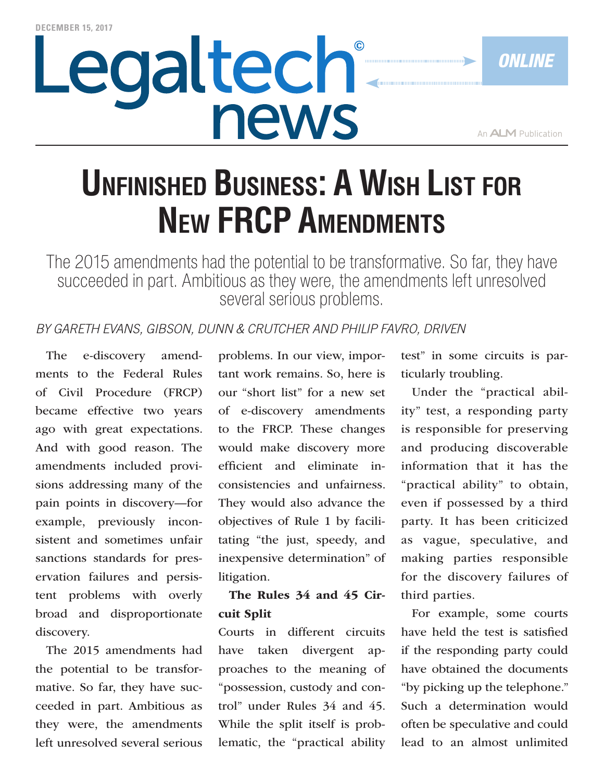# Legaltech® news

*Online*

## **Unfinished Business: A Wish List for New FRCP Amendments**

The 2015 amendments had the potential to be transformative. So far, they have succeeded in part. Ambitious as they were, the amendments left unresolved several serious problems.

#### *BY Gareth Evans, Gibson, Dunn & Crutcher and Philip Favro, Driven*

The e-discovery amendments to the Federal Rules of Civil Procedure (FRCP) became effective two years ago with great expectations. And with good reason. The amendments included provisions addressing many of the pain points in discovery—for example, previously inconsistent and sometimes unfair sanctions standards for preservation failures and persistent problems with overly broad and disproportionate discovery.

The 2015 amendments had the potential to be transformative. So far, they have succeeded in part. Ambitious as they were, the amendments left unresolved several serious

problems. In our view, important work remains. So, here is our "short list" for a new set of e-discovery amendments to the FRCP. These changes would make discovery more efficient and eliminate inconsistencies and unfairness. They would also advance the objectives of Rule 1 by facilitating "the just, speedy, and inexpensive determination" of litigation.

#### The Rules 34 and 45 Circuit Split

Courts in different circuits have taken divergent approaches to the meaning of "possession, custody and control" under Rules 34 and 45. While the split itself is problematic, the "practical ability test" in some circuits is particularly troubling.

Under the "practical ability" test, a responding party is responsible for preserving and producing discoverable information that it has the "practical ability" to obtain, even if possessed by a third party. It has been criticized as vague, speculative, and making parties responsible for the discovery failures of third parties.

For example, some courts have held the test is satisfied if the responding party could have obtained the documents "by picking up the telephone." Such a determination would often be speculative and could lead to an almost unlimited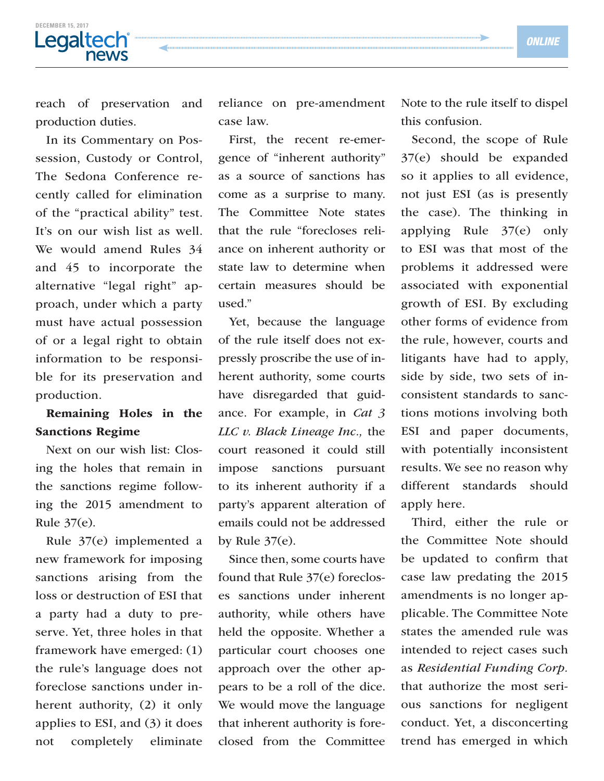### **DECEMBER 15, 2017** news

reach of preservation and production duties.

In its Commentary on Possession, Custody or Control, The Sedona Conference recently called for elimination of the "practical ability" test. It's on our wish list as well. We would amend Rules 34 and 45 to incorporate the alternative "legal right" approach, under which a party must have actual possession of or a legal right to obtain information to be responsible for its preservation and production.

#### Remaining Holes in the Sanctions Regime

Next on our wish list: Closing the holes that remain in the sanctions regime following the 2015 amendment to Rule 37(e).

Rule 37(e) implemented a new framework for imposing sanctions arising from the loss or destruction of ESI that a party had a duty to preserve. Yet, three holes in that framework have emerged: (1) the rule's language does not foreclose sanctions under inherent authority, (2) it only applies to ESI, and (3) it does not completely eliminate reliance on pre-amendment case law.

First, the recent re-emergence of "inherent authority" as a source of sanctions has come as a surprise to many. The Committee Note states that the rule "forecloses reliance on inherent authority or state law to determine when certain measures should be used."

Yet, because the language of the rule itself does not expressly proscribe the use of inherent authority, some courts have disregarded that guidance. For example, in *Cat 3 LLC v. Black Lineage Inc.,* the court reasoned it could still impose sanctions pursuant to its inherent authority if a party's apparent alteration of emails could not be addressed by Rule  $37(e)$ .

Since then, some courts have found that Rule 37(e) forecloses sanctions under inherent authority, while others have held the opposite. Whether a particular court chooses one approach over the other appears to be a roll of the dice. We would move the language that inherent authority is foreclosed from the Committee

Note to the rule itself to dispel this confusion.

Second, the scope of Rule 37(e) should be expanded so it applies to all evidence, not just ESI (as is presently the case). The thinking in applying Rule 37(e) only to ESI was that most of the problems it addressed were associated with exponential growth of ESI. By excluding other forms of evidence from the rule, however, courts and litigants have had to apply, side by side, two sets of inconsistent standards to sanctions motions involving both ESI and paper documents, with potentially inconsistent results. We see no reason why different standards should apply here.

Third, either the rule or the Committee Note should be updated to confirm that case law predating the 2015 amendments is no longer applicable. The Committee Note states the amended rule was intended to reject cases such as *Residential Funding Corp.* that authorize the most serious sanctions for negligent conduct. Yet, a disconcerting trend has emerged in which